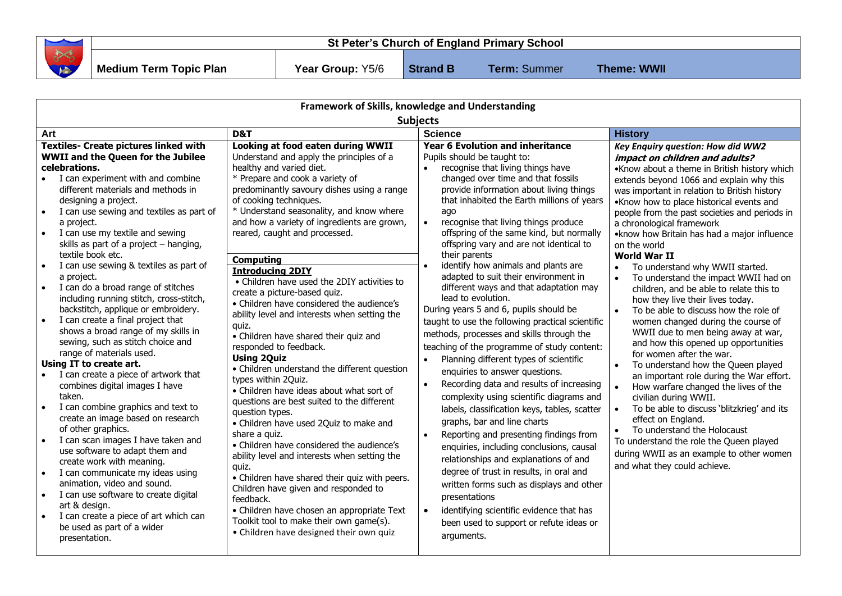| the contract of the contract of the contract of<br>375 | St Peter's Church of England Primary School |                         |                 |                     |                    |
|--------------------------------------------------------|---------------------------------------------|-------------------------|-----------------|---------------------|--------------------|
|                                                        | Medium Term Topic Plan                      | <b>Year Group: Y5/6</b> | <b>Strand B</b> | <b>Term: Summer</b> | <b>Theme: WWII</b> |

| Framework of Skills, knowledge and Understanding                                                                                                                                                                                                                                                                                                                                                                                                                                                                                                                                                                                                                                                                                                                                                                                                                                                                                                                                                |                                                                                                                                                                                                                                                                                                                                                                                                                                                                                                                                                                                                                                                                                                                                                                                                                                                                                                                          |                                                                                                                                                                                                                                                                                                                                                                                                                                                                                                                                                                                                                                                                                                                                                                                                                                                                                                                                                                                 |                                                                                                                                                                                                                                                                                                                                                                                                                                                                                                                                                                                                                                                                                                                                                                                                                                                                                                                                                                                                                                                                                                                                                                                                                      |  |  |  |  |  |
|-------------------------------------------------------------------------------------------------------------------------------------------------------------------------------------------------------------------------------------------------------------------------------------------------------------------------------------------------------------------------------------------------------------------------------------------------------------------------------------------------------------------------------------------------------------------------------------------------------------------------------------------------------------------------------------------------------------------------------------------------------------------------------------------------------------------------------------------------------------------------------------------------------------------------------------------------------------------------------------------------|--------------------------------------------------------------------------------------------------------------------------------------------------------------------------------------------------------------------------------------------------------------------------------------------------------------------------------------------------------------------------------------------------------------------------------------------------------------------------------------------------------------------------------------------------------------------------------------------------------------------------------------------------------------------------------------------------------------------------------------------------------------------------------------------------------------------------------------------------------------------------------------------------------------------------|---------------------------------------------------------------------------------------------------------------------------------------------------------------------------------------------------------------------------------------------------------------------------------------------------------------------------------------------------------------------------------------------------------------------------------------------------------------------------------------------------------------------------------------------------------------------------------------------------------------------------------------------------------------------------------------------------------------------------------------------------------------------------------------------------------------------------------------------------------------------------------------------------------------------------------------------------------------------------------|----------------------------------------------------------------------------------------------------------------------------------------------------------------------------------------------------------------------------------------------------------------------------------------------------------------------------------------------------------------------------------------------------------------------------------------------------------------------------------------------------------------------------------------------------------------------------------------------------------------------------------------------------------------------------------------------------------------------------------------------------------------------------------------------------------------------------------------------------------------------------------------------------------------------------------------------------------------------------------------------------------------------------------------------------------------------------------------------------------------------------------------------------------------------------------------------------------------------|--|--|--|--|--|
| <b>Subjects</b>                                                                                                                                                                                                                                                                                                                                                                                                                                                                                                                                                                                                                                                                                                                                                                                                                                                                                                                                                                                 |                                                                                                                                                                                                                                                                                                                                                                                                                                                                                                                                                                                                                                                                                                                                                                                                                                                                                                                          |                                                                                                                                                                                                                                                                                                                                                                                                                                                                                                                                                                                                                                                                                                                                                                                                                                                                                                                                                                                 |                                                                                                                                                                                                                                                                                                                                                                                                                                                                                                                                                                                                                                                                                                                                                                                                                                                                                                                                                                                                                                                                                                                                                                                                                      |  |  |  |  |  |
| D&T<br>Art                                                                                                                                                                                                                                                                                                                                                                                                                                                                                                                                                                                                                                                                                                                                                                                                                                                                                                                                                                                      |                                                                                                                                                                                                                                                                                                                                                                                                                                                                                                                                                                                                                                                                                                                                                                                                                                                                                                                          | <b>Science</b>                                                                                                                                                                                                                                                                                                                                                                                                                                                                                                                                                                                                                                                                                                                                                                                                                                                                                                                                                                  | <b>History</b>                                                                                                                                                                                                                                                                                                                                                                                                                                                                                                                                                                                                                                                                                                                                                                                                                                                                                                                                                                                                                                                                                                                                                                                                       |  |  |  |  |  |
| <b>Textiles- Create pictures linked with</b><br><b>WWII and the Queen for the Jubilee</b><br>celebrations.<br>I can experiment with and combine<br>different materials and methods in<br>designing a project.<br>I can use sewing and textiles as part of<br>$\bullet$<br>a project.<br>I can use my textile and sewing<br>$\bullet$<br>skills as part of a project - hanging,                                                                                                                                                                                                                                                                                                                                                                                                                                                                                                                                                                                                                  | Looking at food eaten during WWII<br>Understand and apply the principles of a<br>healthy and varied diet.<br>* Prepare and cook a variety of<br>predominantly savoury dishes using a range<br>of cooking techniques.<br>* Understand seasonality, and know where<br>and how a variety of ingredients are grown,<br>reared, caught and processed.                                                                                                                                                                                                                                                                                                                                                                                                                                                                                                                                                                         | <b>Year 6 Evolution and inheritance</b><br>Pupils should be taught to:<br>recognise that living things have<br>$\bullet$<br>changed over time and that fossils<br>provide information about living things<br>that inhabited the Earth millions of years<br>ago<br>recognise that living things produce<br>$\bullet$<br>offspring of the same kind, but normally<br>offspring vary and are not identical to                                                                                                                                                                                                                                                                                                                                                                                                                                                                                                                                                                      | Key Enquiry question: How did WW2<br>impact on children and adults?<br>•Know about a theme in British history which<br>extends beyond 1066 and explain why this<br>was important in relation to British history<br>•Know how to place historical events and<br>people from the past societies and periods in<br>a chronological framework<br>• know how Britain has had a major influence<br>on the world<br><b>World War II</b><br>To understand why WWII started.<br>To understand the impact WWII had on<br>$\bullet$<br>children, and be able to relate this to<br>how they live their lives today.<br>$\bullet$<br>To be able to discuss how the role of<br>women changed during the course of<br>WWII due to men being away at war,<br>and how this opened up opportunities<br>for women after the war.<br>To understand how the Queen played<br>an important role during the War effort.<br>$\bullet$<br>How warfare changed the lives of the<br>civilian during WWII.<br>To be able to discuss 'blitzkrieg' and its<br>effect on England.<br>To understand the Holocaust<br>$\bullet$<br>To understand the role the Queen played<br>during WWII as an example to other women<br>and what they could achieve. |  |  |  |  |  |
| textile book etc.<br>I can use sewing & textiles as part of<br>$\bullet$<br>a project.<br>I can do a broad range of stitches<br>$\bullet$<br>including running stitch, cross-stitch,<br>backstitch, applique or embroidery.<br>I can create a final project that<br>$\bullet$<br>shows a broad range of my skills in<br>sewing, such as stitch choice and<br>range of materials used.<br>Using IT to create art.<br>I can create a piece of artwork that<br>combines digital images I have<br>taken.<br>I can combine graphics and text to<br>$\bullet$<br>create an image based on research<br>of other graphics.<br>I can scan images I have taken and<br>$\bullet$<br>use software to adapt them and<br>create work with meaning.<br>I can communicate my ideas using<br>$\bullet$<br>animation, video and sound.<br>I can use software to create digital<br>$\bullet$<br>art & design.<br>I can create a piece of art which can<br>$\bullet$<br>be used as part of a wider<br>presentation. | <b>Computing</b><br><b>Introducing 2DIY</b><br>• Children have used the 2DIY activities to<br>create a picture-based quiz.<br>• Children have considered the audience's<br>ability level and interests when setting the<br>quiz.<br>• Children have shared their quiz and<br>responded to feedback.<br><b>Using 2Quiz</b><br>• Children understand the different question<br>types within 20uiz.<br>• Children have ideas about what sort of<br>questions are best suited to the different<br>question types.<br>• Children have used 2Quiz to make and<br>share a quiz.<br>• Children have considered the audience's<br>ability level and interests when setting the<br>quiz.<br>• Children have shared their quiz with peers.<br>Children have given and responded to<br>feedback.<br>• Children have chosen an appropriate Text<br>Toolkit tool to make their own game(s).<br>• Children have designed their own quiz | their parents<br>identify how animals and plants are<br>adapted to suit their environment in<br>different ways and that adaptation may<br>lead to evolution.<br>During years 5 and 6, pupils should be<br>taught to use the following practical scientific<br>methods, processes and skills through the<br>teaching of the programme of study content:<br>Planning different types of scientific<br>enquiries to answer questions.<br>Recording data and results of increasing<br>$\bullet$<br>complexity using scientific diagrams and<br>labels, classification keys, tables, scatter<br>graphs, bar and line charts<br>Reporting and presenting findings from<br>enquiries, including conclusions, causal<br>relationships and explanations of and<br>degree of trust in results, in oral and<br>written forms such as displays and other<br>presentations<br>identifying scientific evidence that has<br>$\bullet$<br>been used to support or refute ideas or<br>arguments. |                                                                                                                                                                                                                                                                                                                                                                                                                                                                                                                                                                                                                                                                                                                                                                                                                                                                                                                                                                                                                                                                                                                                                                                                                      |  |  |  |  |  |